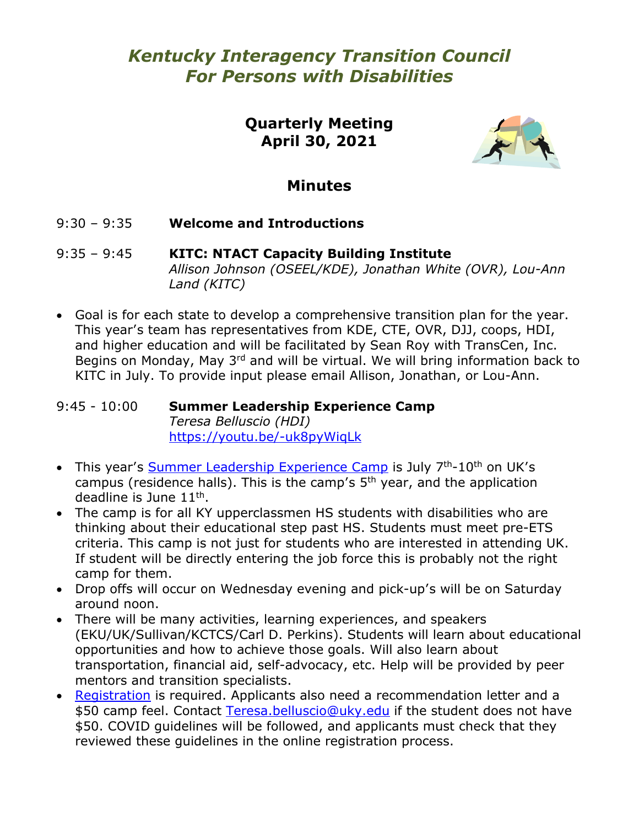# *Kentucky Interagency Transition Council For Persons with Disabilities*

# **Quarterly Meeting April 30, 2021**



# **Minutes**

- 9:30 9:35 **Welcome and Introductions**
- 9:35 9:45 **KITC: NTACT Capacity Building Institute** *Allison Johnson (OSEEL/KDE), Jonathan White (OVR), Lou-Ann Land (KITC)*
- Goal is for each state to develop a comprehensive transition plan for the year. This year's team has representatives from KDE, CTE, OVR, DJJ, coops, HDI, and higher education and will be facilitated by Sean Roy with TransCen, Inc. Begins on Monday, May 3<sup>rd</sup> and will be virtual. We will bring information back to KITC in July. To provide input please email Allison, Jonathan, or Lou-Ann.

9:45 - 10:00 **Summer Leadership Experience Camp** *Teresa Belluscio (HDI)* <https://youtu.be/-uk8pyWiqLk>

- This year's [Summer Leadership Experience Camp](https://hdi.uky.edu/project/summer-leadership-experience-camp) is July 7<sup>th</sup>-10<sup>th</sup> on UK's campus (residence halls). This is the camp's 5th year, and the application deadline is June 11th.
- The camp is for all KY upperclassmen HS students with disabilities who are thinking about their educational step past HS. Students must meet pre-ETS criteria. This camp is not just for students who are interested in attending UK. If student will be directly entering the job force this is probably not the right camp for them.
- Drop offs will occur on Wednesday evening and pick-up's will be on Saturday around noon.
- There will be many activities, learning experiences, and speakers (EKU/UK/Sullivan/KCTCS/Carl D. Perkins). Students will learn about educational opportunities and how to achieve those goals. Will also learn about transportation, financial aid, self-advocacy, etc. Help will be provided by peer mentors and transition specialists.
- [Registration](https://uky.az1.qualtrics.com/jfe/form/SV_0uru7jWtBQBD1b0) is required. Applicants also need a recommendation letter and a \$50 camp feel. Contact [Teresa.belluscio@uky.edu](mailto:Teresa.belluscio@uky.edu) if the student does not have \$50. COVID guidelines will be followed, and applicants must check that they reviewed these guidelines in the online registration process.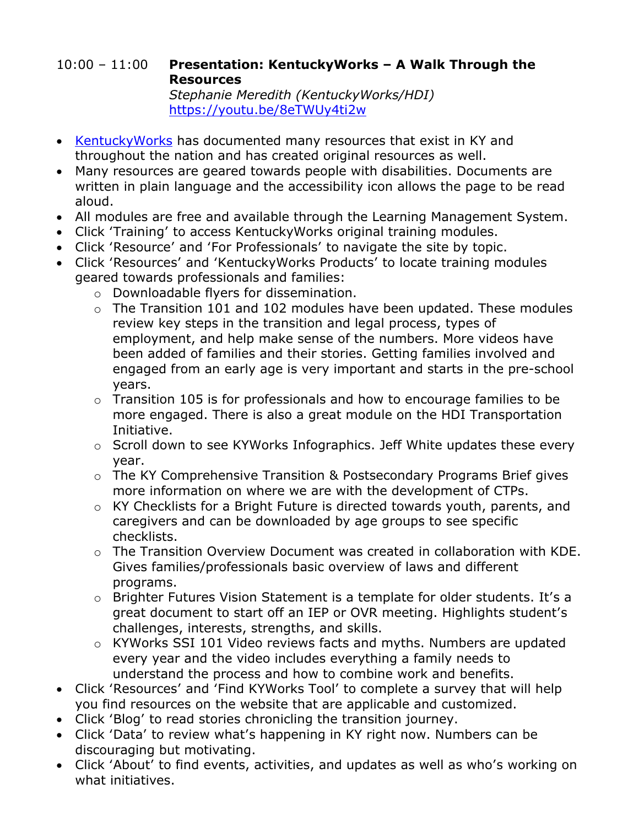#### 10:00 – 11:00 **Presentation: KentuckyWorks – A Walk Through the Resources** *Stephanie Meredith (KentuckyWorks/HDI)* <https://youtu.be/8eTWUy4ti2w>

- [KentuckyWorks](https://kentuckyworks.org/) has documented many resources that exist in KY and throughout the nation and has created original resources as well.
- Many resources are geared towards people with disabilities. Documents are written in plain language and the accessibility icon allows the page to be read aloud.
- All modules are free and available through the Learning Management System.
- Click 'Training' to access KentuckyWorks original training modules.
- Click 'Resource' and 'For Professionals' to navigate the site by topic.
- Click 'Resources' and 'KentuckyWorks Products' to locate training modules geared towards professionals and families:
	- o Downloadable flyers for dissemination.
	- $\circ$  The Transition 101 and 102 modules have been updated. These modules review key steps in the transition and legal process, types of employment, and help make sense of the numbers. More videos have been added of families and their stories. Getting families involved and engaged from an early age is very important and starts in the pre-school years.
	- $\circ$  Transition 105 is for professionals and how to encourage families to be more engaged. There is also a great module on the HDI Transportation Initiative.
	- o Scroll down to see KYWorks Infographics. Jeff White updates these every year.
	- o The KY Comprehensive Transition & Postsecondary Programs Brief gives more information on where we are with the development of CTPs.
	- o KY Checklists for a Bright Future is directed towards youth, parents, and caregivers and can be downloaded by age groups to see specific checklists.
	- o The Transition Overview Document was created in collaboration with KDE. Gives families/professionals basic overview of laws and different programs.
	- o Brighter Futures Vision Statement is a template for older students. It's a great document to start off an IEP or OVR meeting. Highlights student's challenges, interests, strengths, and skills.
	- o KYWorks SSI 101 Video reviews facts and myths. Numbers are updated every year and the video includes everything a family needs to understand the process and how to combine work and benefits.
- Click 'Resources' and 'Find KYWorks Tool' to complete a survey that will help you find resources on the website that are applicable and customized.
- Click 'Blog' to read stories chronicling the transition journey.
- Click 'Data' to review what's happening in KY right now. Numbers can be discouraging but motivating.
- Click 'About' to find events, activities, and updates as well as who's working on what initiatives.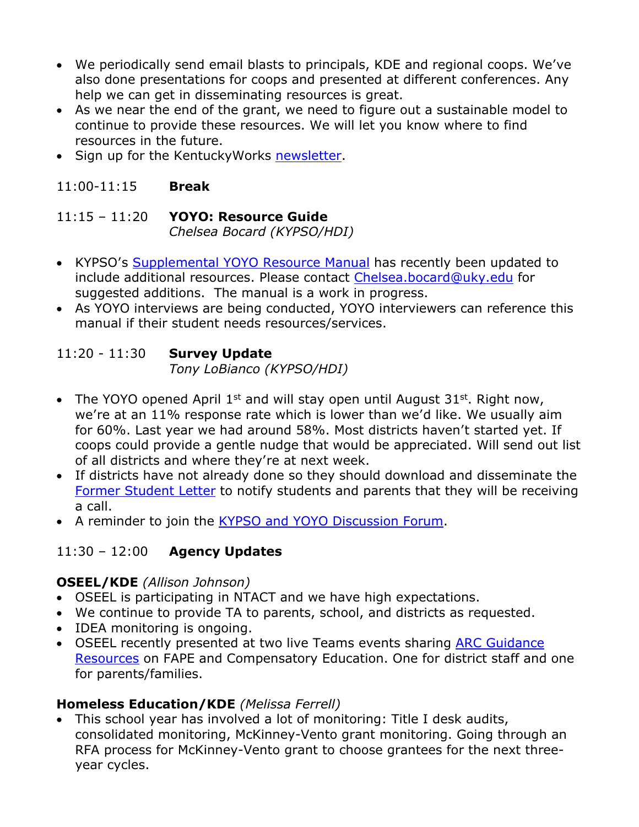- We periodically send email blasts to principals, KDE and regional coops. We've also done presentations for coops and presented at different conferences. Any help we can get in disseminating resources is great.
- As we near the end of the grant, we need to figure out a sustainable model to continue to provide these resources. We will let you know where to find resources in the future.
- Sign up for the KentuckyWorks [newsletter.](https://confirmsubscription.com/h/i/7A2CBDA2A35E2D12)

11:00-11:15 **Break**

## 11:15 – 11:20 **YOYO: Resource Guide**

*Chelsea Bocard (KYPSO/HDI)*

- KYPSO's [Supplemental YOYO Resource Manual](https://www.kypso.org/wp-content/uploads/2021/04/Supplemental-YOYO-Resource-Manual.pdf) has recently been updated to include additional resources. Please contact [Chelsea.bocard@uky.edu](mailto:Chelsea.bocard@uky.edu) for suggested additions. The manual is a work in progress.
- As YOYO interviews are being conducted, YOYO interviewers can reference this manual if their student needs resources/services.

### 11:20 - 11:30 **Survey Update**

*Tony LoBianco (KYPSO/HDI)*

- The YOYO opened April  $1^{st}$  and will stay open until August  $31^{st}$ . Right now, we're at an 11% response rate which is lower than we'd like. We usually aim for 60%. Last year we had around 58%. Most districts haven't started yet. If coops could provide a gentle nudge that would be appreciated. Will send out list of all districts and where they're at next week.
- If districts have not already done so they should download and disseminate the [Former Student Letter](https://www.kypso.org/resources/) to notify students and parents that they will be receiving a call.
- A reminder to join the [KYPSO and YOYO Discussion Forum.](https://www.facebook.com/groups/1247375618932347)

## 11:30 – 12:00 **Agency Updates**

### **OSEEL/KDE** *(Allison Johnson)*

- OSEEL is participating in NTACT and we have high expectations.
- We continue to provide TA to parents, school, and districts as requested.
- IDEA monitoring is ongoing.
- OSEEL recently presented at two live Teams events sharing [ARC Guidance](https://education.ky.gov/specialed/excep/forms/Pages/Guidance-Documents.aspx)  [Resources](https://education.ky.gov/specialed/excep/forms/Pages/Guidance-Documents.aspx) on FAPE and Compensatory Education. One for district staff and one for parents/families.

### **Homeless Education/KDE** *(Melissa Ferrell)*

• This school year has involved a lot of monitoring: Title I desk audits, consolidated monitoring, McKinney-Vento grant monitoring. Going through an RFA process for McKinney-Vento grant to choose grantees for the next threeyear cycles.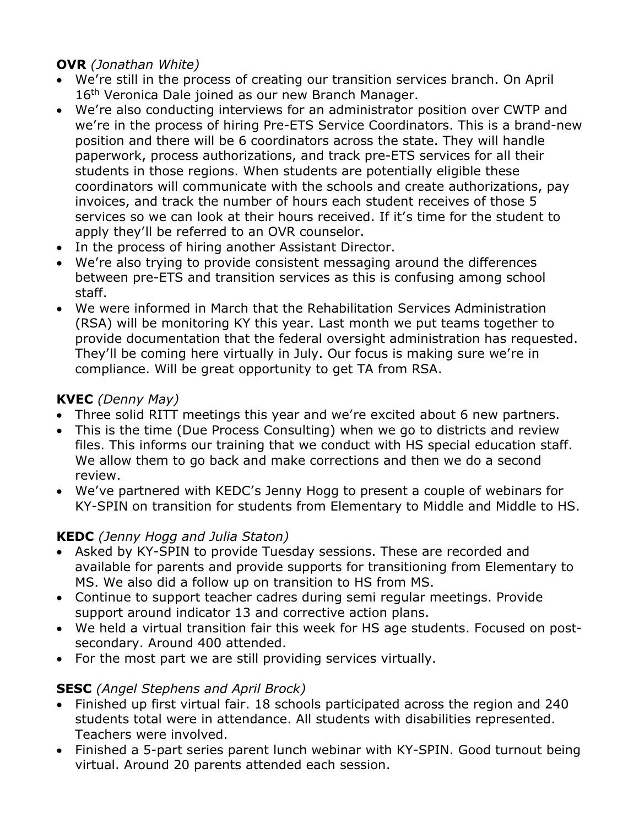### **OVR** *(Jonathan White)*

- We're still in the process of creating our transition services branch. On April 16<sup>th</sup> Veronica Dale joined as our new Branch Manager.
- We're also conducting interviews for an administrator position over CWTP and we're in the process of hiring Pre-ETS Service Coordinators. This is a brand-new position and there will be 6 coordinators across the state. They will handle paperwork, process authorizations, and track pre-ETS services for all their students in those regions. When students are potentially eligible these coordinators will communicate with the schools and create authorizations, pay invoices, and track the number of hours each student receives of those 5 services so we can look at their hours received. If it's time for the student to apply they'll be referred to an OVR counselor.
- In the process of hiring another Assistant Director.
- We're also trying to provide consistent messaging around the differences between pre-ETS and transition services as this is confusing among school staff.
- We were informed in March that the Rehabilitation Services Administration (RSA) will be monitoring KY this year. Last month we put teams together to provide documentation that the federal oversight administration has requested. They'll be coming here virtually in July. Our focus is making sure we're in compliance. Will be great opportunity to get TA from RSA.

## **KVEC** *(Denny May)*

- Three solid RITT meetings this year and we're excited about 6 new partners.
- This is the time (Due Process Consulting) when we go to districts and review files. This informs our training that we conduct with HS special education staff. We allow them to go back and make corrections and then we do a second review.
- We've partnered with KEDC's Jenny Hogg to present a couple of webinars for KY-SPIN on transition for students from Elementary to Middle and Middle to HS.

## **KEDC** *(Jenny Hogg and Julia Staton)*

- Asked by KY-SPIN to provide Tuesday sessions. These are recorded and available for parents and provide supports for transitioning from Elementary to MS. We also did a follow up on transition to HS from MS.
- Continue to support teacher cadres during semi regular meetings. Provide support around indicator 13 and corrective action plans.
- We held a virtual transition fair this week for HS age students. Focused on postsecondary. Around 400 attended.
- For the most part we are still providing services virtually.

### **SESC** *(Angel Stephens and April Brock)*

- Finished up first virtual fair. 18 schools participated across the region and 240 students total were in attendance. All students with disabilities represented. Teachers were involved.
- Finished a 5-part series parent lunch webinar with KY-SPIN. Good turnout being virtual. Around 20 parents attended each session.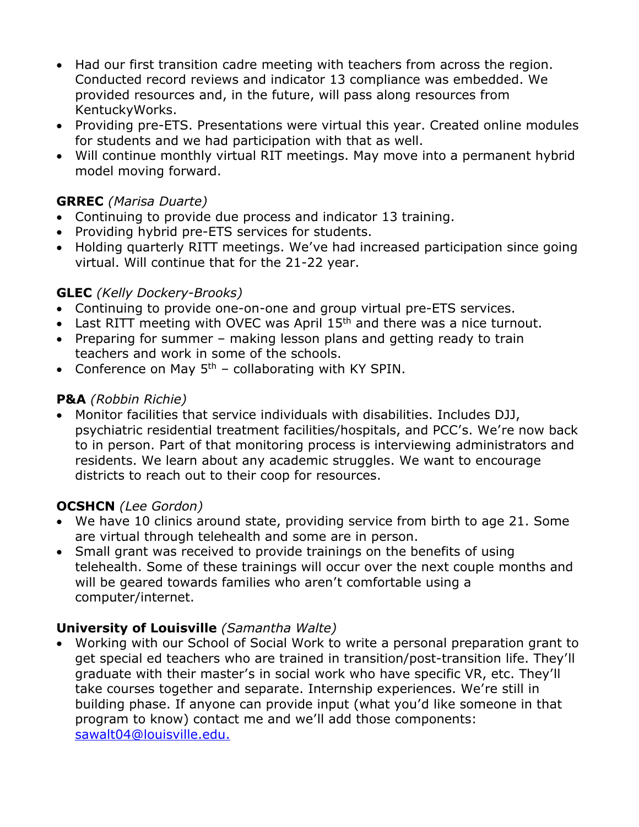- Had our first transition cadre meeting with teachers from across the region. Conducted record reviews and indicator 13 compliance was embedded. We provided resources and, in the future, will pass along resources from KentuckyWorks.
- Providing pre-ETS. Presentations were virtual this year. Created online modules for students and we had participation with that as well.
- Will continue monthly virtual RIT meetings. May move into a permanent hybrid model moving forward.

### **GRREC** *(Marisa Duarte)*

- Continuing to provide due process and indicator 13 training.
- Providing hybrid pre-ETS services for students.
- Holding quarterly RITT meetings. We've had increased participation since going virtual. Will continue that for the 21-22 year.

### **GLEC** *(Kelly Dockery-Brooks)*

- Continuing to provide one-on-one and group virtual pre-ETS services.
- Last RITT meeting with OVEC was April 15<sup>th</sup> and there was a nice turnout.
- Preparing for summer making lesson plans and getting ready to train teachers and work in some of the schools.
- Conference on May  $5<sup>th</sup>$  collaborating with KY SPIN.

### **P&A** *(Robbin Richie)*

• Monitor facilities that service individuals with disabilities. Includes DJJ, psychiatric residential treatment facilities/hospitals, and PCC's. We're now back to in person. Part of that monitoring process is interviewing administrators and residents. We learn about any academic struggles. We want to encourage districts to reach out to their coop for resources.

### **OCSHCN** *(Lee Gordon)*

- We have 10 clinics around state, providing service from birth to age 21. Some are virtual through telehealth and some are in person.
- Small grant was received to provide trainings on the benefits of using telehealth. Some of these trainings will occur over the next couple months and will be geared towards families who aren't comfortable using a computer/internet.

### **University of Louisville** *(Samantha Walte)*

• Working with our School of Social Work to write a personal preparation grant to get special ed teachers who are trained in transition/post-transition life. They'll graduate with their master's in social work who have specific VR, etc. They'll take courses together and separate. Internship experiences. We're still in building phase. If anyone can provide input (what you'd like someone in that program to know) contact me and we'll add those components: [sawalt04@louisville.edu.](mailto:sawalt04@louisville.edu)